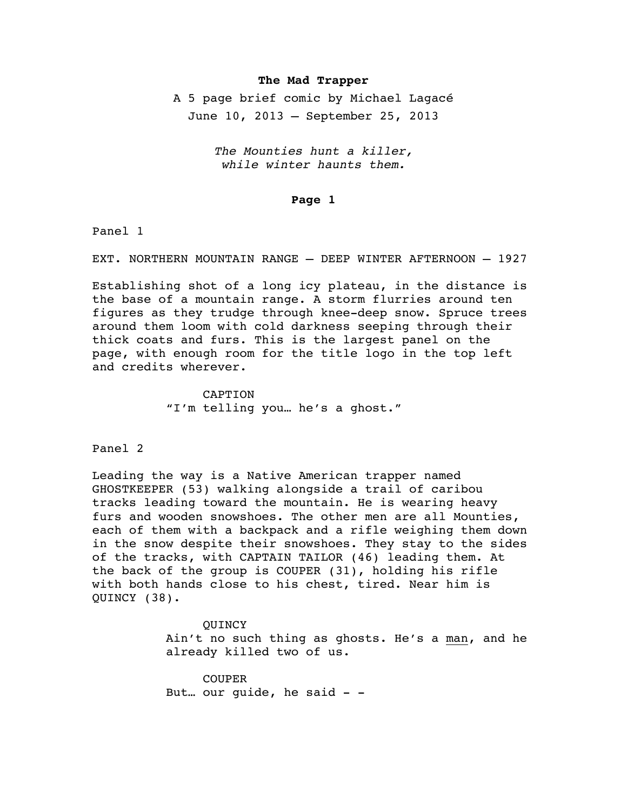## **The Mad Trapper**

A 5 page brief comic by Michael Lagacé June 10, 2013 – September 25, 2013

> *The Mounties hunt a killer, while winter haunts them.*

## **Page 1**

Panel 1

EXT. NORTHERN MOUNTAIN RANGE – DEEP WINTER AFTERNOON – 1927

Establishing shot of a long icy plateau, in the distance is the base of a mountain range. A storm flurries around ten figures as they trudge through knee-deep snow. Spruce trees around them loom with cold darkness seeping through their thick coats and furs. This is the largest panel on the page, with enough room for the title logo in the top left and credits wherever.

> CAPTION "I'm telling you… he's a ghost."

Panel 2

Leading the way is a Native American trapper named GHOSTKEEPER (53) walking alongside a trail of caribou tracks leading toward the mountain. He is wearing heavy furs and wooden snowshoes. The other men are all Mounties, each of them with a backpack and a rifle weighing them down in the snow despite their snowshoes. They stay to the sides of the tracks, with CAPTAIN TAILOR (46) leading them. At the back of the group is COUPER (31), holding his rifle with both hands close to his chest, tired. Near him is QUINCY (38).

> **OUINCY** Ain't no such thing as ghosts. He's a man, and he already killed two of us.

COUPER But... our guide, he said  $-$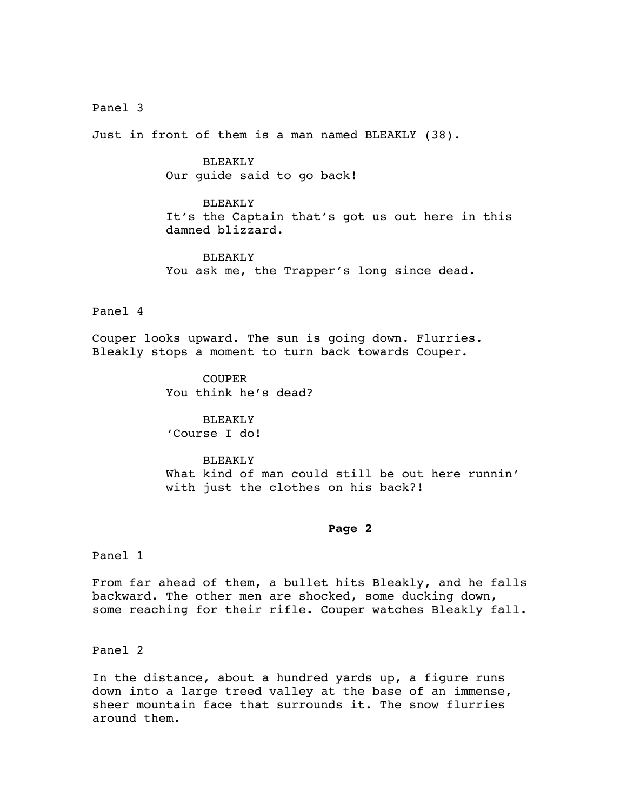Panel 3

Just in front of them is a man named BLEAKLY (38).

BLEAKLY Our guide said to go back!

BLEAKLY It's the Captain that's got us out here in this damned blizzard.

BLEAKLY You ask me, the Trapper's long since dead.

Panel 4

Couper looks upward. The sun is going down. Flurries. Bleakly stops a moment to turn back towards Couper.

> COUPER You think he's dead?

BLEAKLY 'Course I do!

BLEAKLY What kind of man could still be out here runnin' with just the clothes on his back?!

## **Page 2**

Panel 1

From far ahead of them, a bullet hits Bleakly, and he falls backward. The other men are shocked, some ducking down, some reaching for their rifle. Couper watches Bleakly fall.

Panel 2

In the distance, about a hundred yards up, a figure runs down into a large treed valley at the base of an immense, sheer mountain face that surrounds it. The snow flurries around them.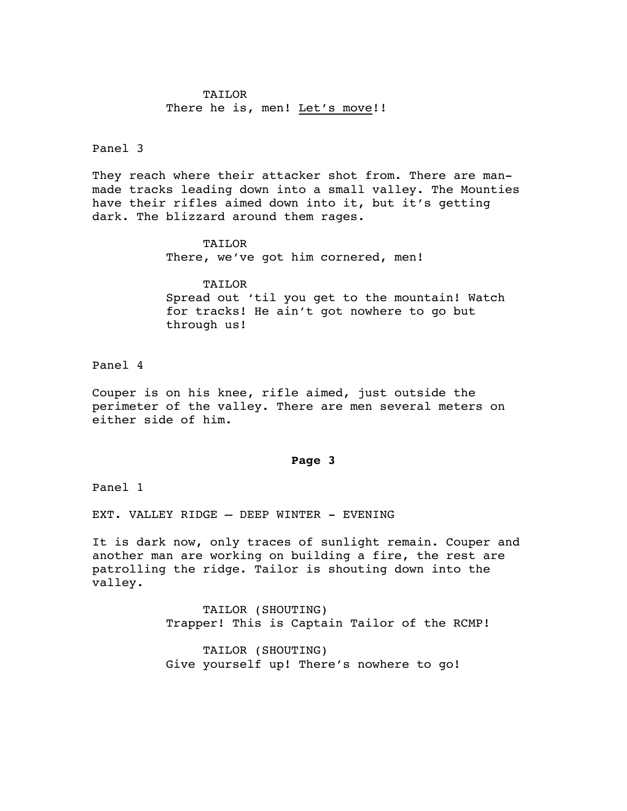# TAILOR There he is, men! Let's move!!

### Panel 3

They reach where their attacker shot from. There are manmade tracks leading down into a small valley. The Mounties have their rifles aimed down into it, but it's getting dark. The blizzard around them rages.

> TAILOR There, we've got him cornered, men!

**TAILOR** Spread out 'til you get to the mountain! Watch for tracks! He ain't got nowhere to go but through us!

Panel 4

Couper is on his knee, rifle aimed, just outside the perimeter of the valley. There are men several meters on either side of him.

#### **Page 3**

Panel 1

EXT. VALLEY RIDGE – DEEP WINTER - EVENING

It is dark now, only traces of sunlight remain. Couper and another man are working on building a fire, the rest are patrolling the ridge. Tailor is shouting down into the valley.

> TAILOR (SHOUTING) Trapper! This is Captain Tailor of the RCMP!

TAILOR (SHOUTING) Give yourself up! There's nowhere to go!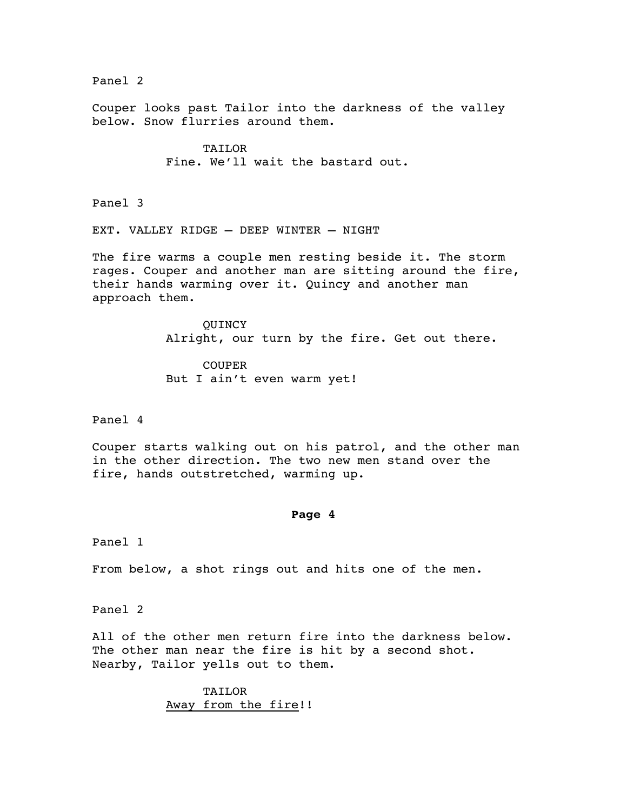Panel 2

Couper looks past Tailor into the darkness of the valley below. Snow flurries around them.

> TAILOR Fine. We'll wait the bastard out.

Panel 3

EXT. VALLEY RIDGE – DEEP WINTER – NIGHT

The fire warms a couple men resting beside it. The storm rages. Couper and another man are sitting around the fire, their hands warming over it. Quincy and another man approach them.

> **OUINCY** Alright, our turn by the fire. Get out there.

COUPER But I ain't even warm yet!

Panel 4

Couper starts walking out on his patrol, and the other man in the other direction. The two new men stand over the fire, hands outstretched, warming up.

#### **Page 4**

Panel 1

From below, a shot rings out and hits one of the men.

Panel 2

All of the other men return fire into the darkness below. The other man near the fire is hit by a second shot. Nearby, Tailor yells out to them.

> TAILOR Away from the fire!!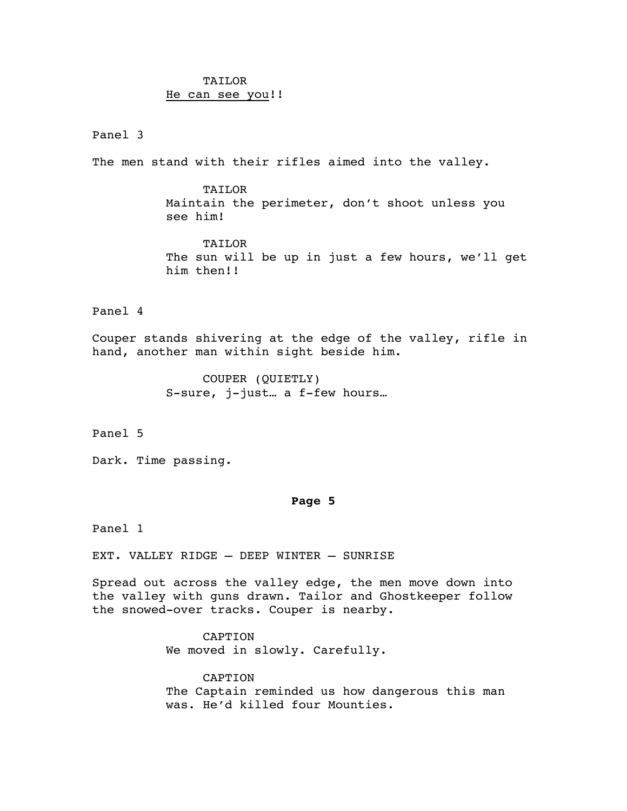# TAILOR He can see you!!

## Panel 3

The men stand with their rifles aimed into the valley.

TAILOR Maintain the perimeter, don't shoot unless you see him!

TAILOR The sun will be up in just a few hours, we'll get him then!!

## Panel 4

Couper stands shivering at the edge of the valley, rifle in hand, another man within sight beside him.

> COUPER (QUIETLY) S-sure, j-just… a f-few hours…

Panel 5

Dark. Time passing.

## **Page 5**

Panel 1

EXT. VALLEY RIDGE – DEEP WINTER – SUNRISE

Spread out across the valley edge, the men move down into the valley with guns drawn. Tailor and Ghostkeeper follow the snowed-over tracks. Couper is nearby.

> CAPTION We moved in slowly. Carefully.

CAPTION The Captain reminded us how dangerous this man was. He'd killed four Mounties.